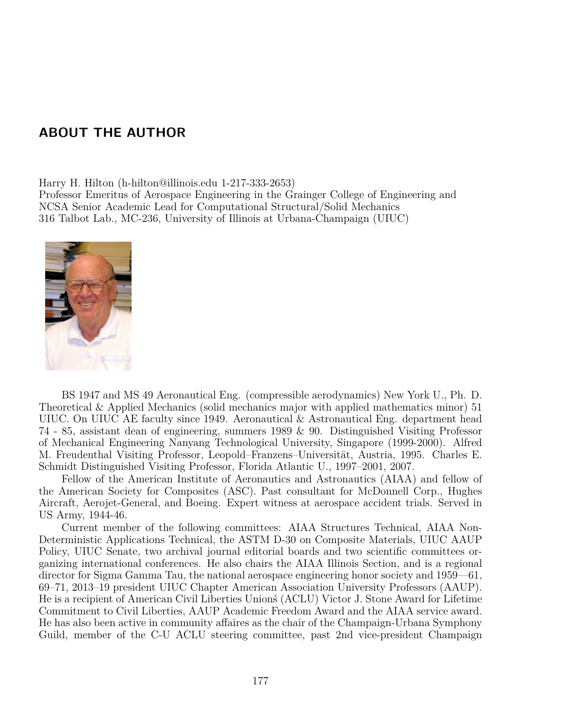## ABOUT THE AUTHOR

Harry H. Hilton (h-hilton@illinois.edu 1-217-333-2653)

Professor Emeritus of Aerospace Engineering in the Grainger College of Engineering and NCSA Senior Academic Lead for Computational Structural/Solid Mechanics 316 Talbot Lab., MC-236, University of Illinois at Urbana-Champaign (UIUC)



BS 1947 and MS 49 Aeronautical Eng. (compressible aerodynamics) New York U., Ph. D. Theoretical & Applied Mechanics (solid mechanics major with applied mathematics minor) 51 UIUC. On UIUC AE faculty since 1949. Aeronautical & Astronautical Eng. department head 74 - 85, assistant dean of engineering, summers 1989 & 90. Distinguished Visiting Professor of Mechanical Engineering Nanyang Technological University, Singapore (1999-2000). Alfred M. Freudenthal Visiting Professor, Leopold–Franzens–Universität, Austria, 1995. Charles E. Schmidt Distinguished Visiting Professor, Florida Atlantic U., 1997–2001, 2007.

Fellow of the American Institute of Aeronautics and Astronautics (AIAA) and fellow of the American Society for Composites (ASC). Past consultant for McDonnell Corp., Hughes Aircraft, Aerojet-General, and Boeing. Expert witness at aerospace accident trials. Served in US Army, 1944-46.

Current member of the following committees: AIAA Structures Technical, AIAA Non-Deterministic Applications Technical, the ASTM D-30 on Composite Materials, UIUC AAUP Policy, UIUC Senate, two archival journal editorial boards and two scientific committees organizing international conferences. He also chairs the AIAA Illinois Section, and is a regional director for Sigma Gamma Tau, the national aerospace engineering honor society and 1959—61, 69–71, 2013–19 president UIUC Chapter American Association University Professors (AAUP). He is a recipient of American Civil Liberties Unionú (ACLU) Victor J. Stone Award for Lifetime Commitment to Civil Liberties, AAUP Academic Freedom Award and the AIAA service award. He has also been active in community affaires as the chair of the Champaign-Urbana Symphony Guild, member of the C-U ACLU steering committee, past 2nd vice-president Champaign